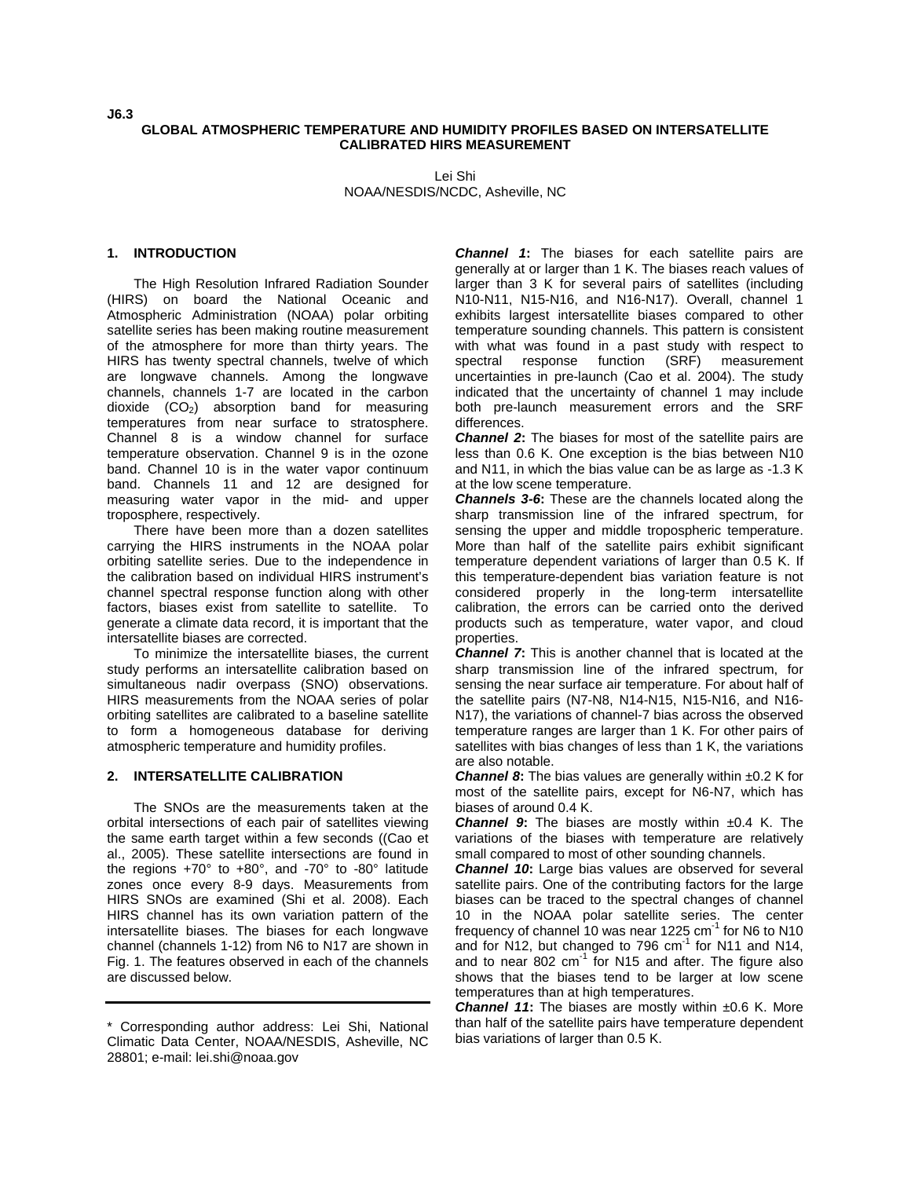#### **GLOBAL ATMOSPHERIC TEMPERATURE AND HUMIDITY PROFILES BASED ON INTERSATELLITE CALIBRATED HIRS MEASUREMENT**

Lei Shi NOAA/NESDIS/NCDC, Asheville, NC

### **1. INTRODUCTION**

The High Resolution Infrared Radiation Sounder (HIRS) on board the National Oceanic and Atmospheric Administration (NOAA) polar orbiting satellite series has been making routine measurement of the atmosphere for more than thirty years. The HIRS has twenty spectral channels, twelve of which are longwave channels. Among the longwave channels, channels 1-7 are located in the carbon dioxide  $(CO<sub>2</sub>)$  absorption band for measuring temperatures from near surface to stratosphere. Channel 8 is a window channel for surface temperature observation. Channel 9 is in the ozone band. Channel 10 is in the water vapor continuum band. Channels 11 and 12 are designed for measuring water vapor in the mid- and upper troposphere, respectively.

There have been more than a dozen satellites carrying the HIRS instruments in the NOAA polar orbiting satellite series. Due to the independence in the calibration based on individual HIRS instrument's channel spectral response function along with other factors, biases exist from satellite to satellite. To generate a climate data record, it is important that the intersatellite biases are corrected.

To minimize the intersatellite biases, the current study performs an intersatellite calibration based on simultaneous nadir overpass (SNO) observations. HIRS measurements from the NOAA series of polar orbiting satellites are calibrated to a baseline satellite to form a homogeneous database for deriving atmospheric temperature and humidity profiles.

#### **2. INTERSATELLITE CALIBRATION**

The SNOs are the measurements taken at the orbital intersections of each pair of satellites viewing the same earth target within a few seconds ((Cao et al., 2005). These satellite intersections are found in the regions +70° to +80°, and -70° to -80° latitude zones once every 8-9 days. Measurements from HIRS SNOs are examined (Shi et al. 2008). Each HIRS channel has its own variation pattern of the intersatellite biases. The biases for each longwave channel (channels 1-12) from N6 to N17 are shown in Fig. 1. The features observed in each of the channels are discussed below.

*Channel 1***:** The biases for each satellite pairs are generally at or larger than 1 K. The biases reach values of larger than 3 K for several pairs of satellites (including N10-N11, N15-N16, and N16-N17). Overall, channel 1 exhibits largest intersatellite biases compared to other temperature sounding channels. This pattern is consistent with what was found in a past study with respect to spectral response function (SRF) measurement uncertainties in pre-launch (Cao et al. 2004). The study indicated that the uncertainty of channel 1 may include both pre-launch measurement errors and the SRF differences.

*Channel 2*: The biases for most of the satellite pairs are less than 0.6 K. One exception is the bias between N10 and N11, in which the bias value can be as large as -1.3 K at the low scene temperature.

*Channels 3-6***:** These are the channels located along the sharp transmission line of the infrared spectrum, for sensing the upper and middle tropospheric temperature. More than half of the satellite pairs exhibit significant temperature dependent variations of larger than 0.5 K. If this temperature-dependent bias variation feature is not considered properly in the long-term intersatellite calibration, the errors can be carried onto the derived products such as temperature, water vapor, and cloud properties.

*Channel 7***:** This is another channel that is located at the sharp transmission line of the infrared spectrum, for sensing the near surface air temperature. For about half of the satellite pairs (N7-N8, N14-N15, N15-N16, and N16- N17), the variations of channel-7 bias across the observed temperature ranges are larger than 1 K. For other pairs of satellites with bias changes of less than 1 K, the variations are also notable.

*Channel 8***:** The bias values are generally within ±0.2 K for most of the satellite pairs, except for N6-N7, which has biases of around 0.4 K.

*Channel 9***:** The biases are mostly within ±0.4 K. The variations of the biases with temperature are relatively small compared to most of other sounding channels.

*Channel 10***:** Large bias values are observed for several satellite pairs. One of the contributing factors for the large biases can be traced to the spectral changes of channel 10 in the NOAA polar satellite series. The center frequency of channel 10 was near 1225 cm $^{-1}$  for N6 to N10 and for N12, but changed to  $796$  cm<sup>-1</sup> for N11 and N14, and to near 802  $cm^{-1}$  for N15 and after. The figure also shows that the biases tend to be larger at low scene temperatures than at high temperatures.

*Channel 11:* The biases are mostly within ±0.6 K. More than half of the satellite pairs have temperature dependent bias variations of larger than 0.5 K.

<sup>\*</sup> Corresponding author address: Lei Shi, National Climatic Data Center, NOAA/NESDIS, Asheville, NC 28801; e-mail: lei.shi@noaa.gov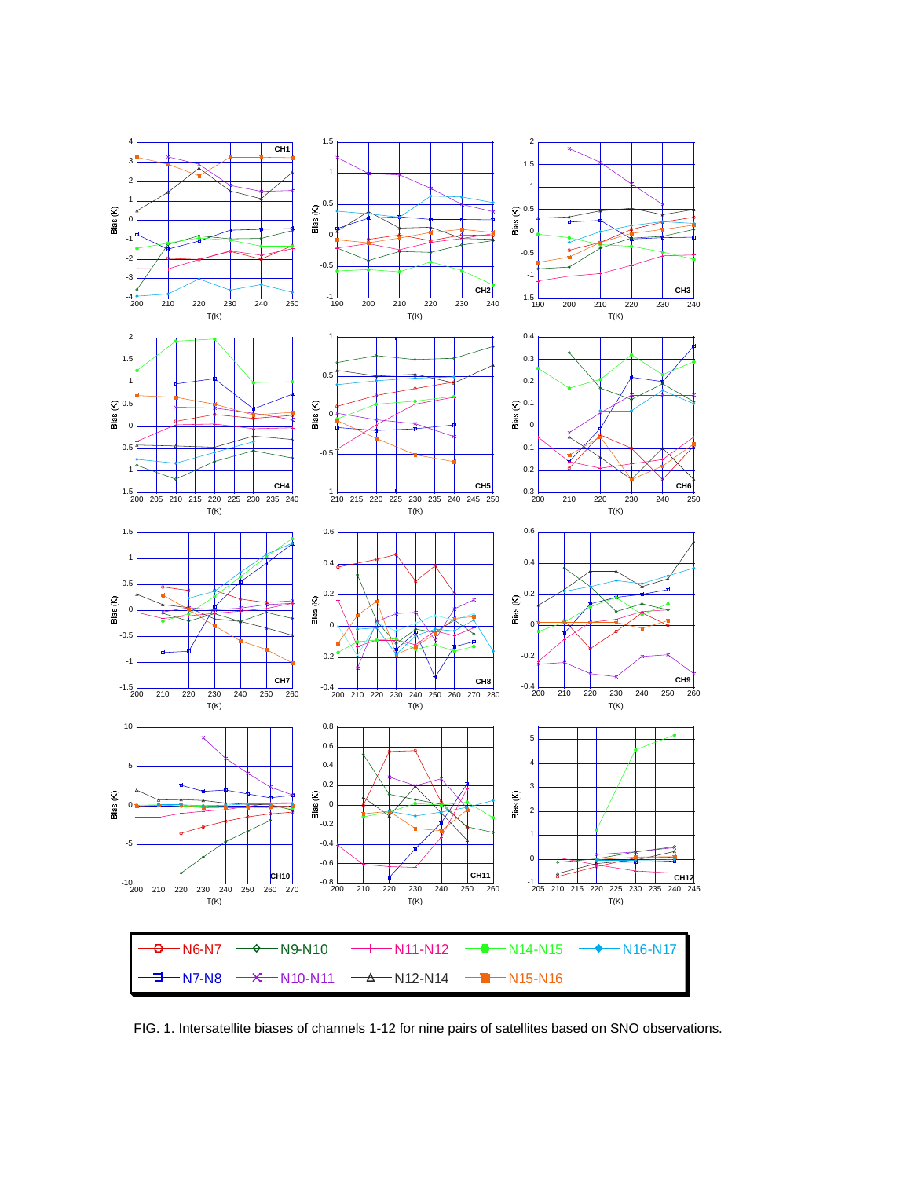

FIG. 1. Intersatellite biases of channels 1-12 for nine pairs of satellites based on SNO observations.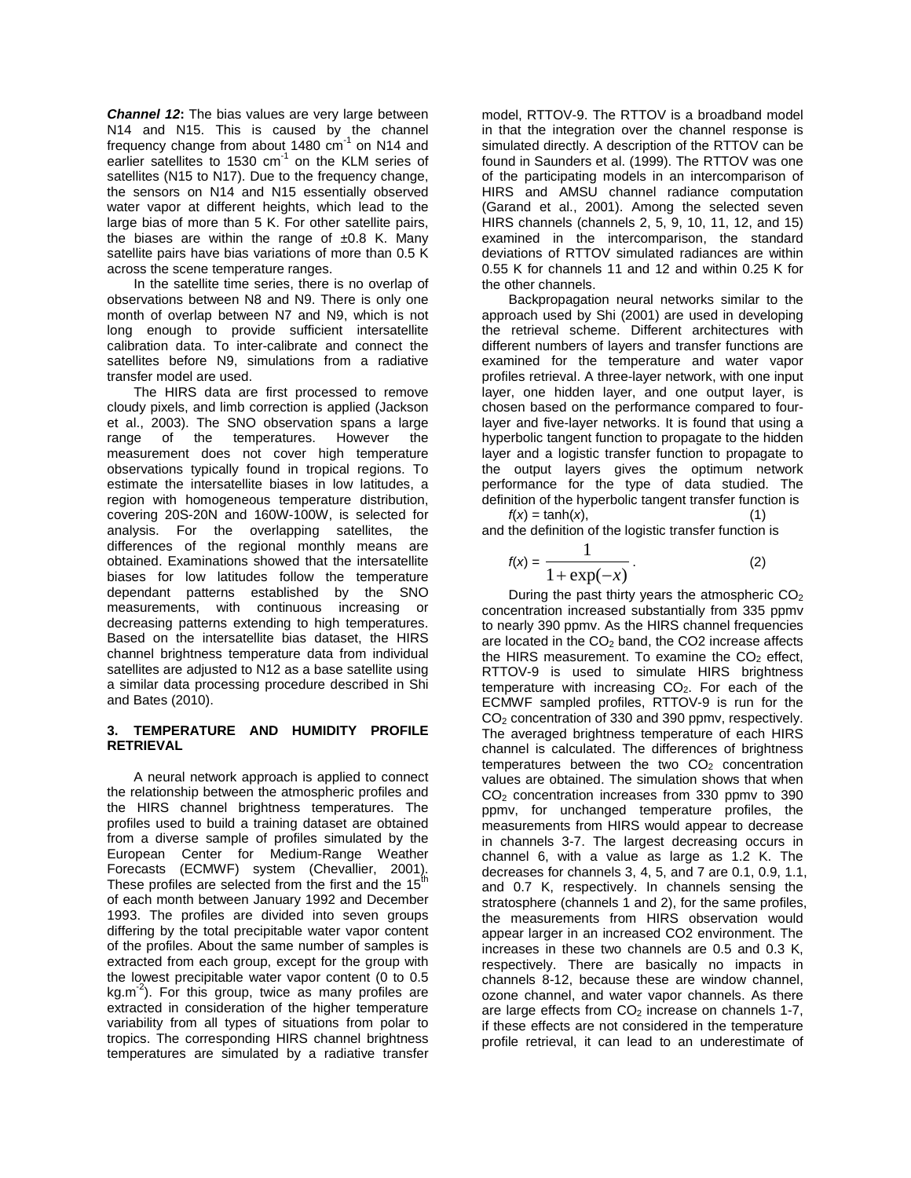*Channel 12***:** The bias values are very large between N14 and N15. This is caused by the channel frequency change from about 1480  $cm^{-1}$  on N14 and earlier satellites to 1530  $cm^{-1}$  on the KLM series of satellites (N15 to N17). Due to the frequency change, the sensors on N14 and N15 essentially observed water vapor at different heights, which lead to the large bias of more than 5 K. For other satellite pairs, the biases are within the range of  $\pm 0.8$  K. Many satellite pairs have bias variations of more than 0.5 K across the scene temperature ranges.

In the satellite time series, there is no overlap of observations between N8 and N9. There is only one month of overlap between N7 and N9, which is not long enough to provide sufficient intersatellite calibration data. To inter-calibrate and connect the satellites before N9, simulations from a radiative transfer model are used.

The HIRS data are first processed to remove cloudy pixels, and limb correction is applied (Jackson et al., 2003). The SNO observation spans a large range of the temperatures. However the measurement does not cover high temperature observations typically found in tropical regions. To estimate the intersatellite biases in low latitudes, a region with homogeneous temperature distribution, covering 20S-20N and 160W-100W, is selected for analysis. For the overlapping satellites, the differences of the regional monthly means are obtained. Examinations showed that the intersatellite biases for low latitudes follow the temperature dependant patterns established by the SNO measurements, with continuous increasing or decreasing patterns extending to high temperatures. Based on the intersatellite bias dataset, the HIRS channel brightness temperature data from individual satellites are adjusted to N12 as a base satellite using a similar data processing procedure described in Shi and Bates (2010).

## **3. TEMPERATURE AND HUMIDITY PROFILE RETRIEVAL**

A neural network approach is applied to connect the relationship between the atmospheric profiles and the HIRS channel brightness temperatures. The profiles used to build a training dataset are obtained from a diverse sample of profiles simulated by the European Center for Medium-Range Weather Forecasts (ECMWF) system (Chevallier, 2001). These profiles are selected from the first and the  $15<sup>th</sup>$ of each month between January 1992 and December 1993. The profiles are divided into seven groups differing by the total precipitable water vapor content of the profiles. About the same number of samples is extracted from each group, except for the group with the lowest precipitable water vapor content (0 to 0.5 kg.m<sup>-2</sup>). For this group, twice as many profiles are extracted in consideration of the higher temperature variability from all types of situations from polar to tropics. The corresponding HIRS channel brightness temperatures are simulated by a radiative transfer

model, RTTOV-9. The RTTOV is a broadband model in that the integration over the channel response is simulated directly. A description of the RTTOV can be found in Saunders et al. (1999). The RTTOV was one of the participating models in an intercomparison of HIRS and AMSU channel radiance computation (Garand et al., 2001). Among the selected seven HIRS channels (channels 2, 5, 9, 10, 11, 12, and 15) examined in the intercomparison, the standard deviations of RTTOV simulated radiances are within 0.55 K for channels 11 and 12 and within 0.25 K for the other channels.

Backpropagation neural networks similar to the approach used by Shi (2001) are used in developing the retrieval scheme. Different architectures with different numbers of layers and transfer functions are examined for the temperature and water vapor profiles retrieval. A three-layer network, with one input layer, one hidden layer, and one output layer, is chosen based on the performance compared to fourlayer and five-layer networks. It is found that using a hyperbolic tangent function to propagate to the hidden layer and a logistic transfer function to propagate to the output layers gives the optimum network performance for the type of data studied. The definition of the hyperbolic tangent transfer function is  $f(x) = \tanh(x)$ , (1)

and the definition of the logistic transfer function is

$$
f(x) = \frac{1}{1 + \exp(-x)}.
$$
 (2)

During the past thirty years the atmospheric  $CO<sub>2</sub>$ concentration increased substantially from 335 ppmv to nearly 390 ppmv. As the HIRS channel frequencies are located in the  $CO<sub>2</sub>$  band, the CO2 increase affects the HIRS measurement. To examine the  $CO<sub>2</sub>$  effect, RTTOV-9 is used to simulate HIRS brightness temperature with increasing  $CO<sub>2</sub>$ . For each of the ECMWF sampled profiles, RTTOV-9 is run for the CO<sub>2</sub> concentration of 330 and 390 ppmv, respectively. The averaged brightness temperature of each HIRS channel is calculated. The differences of brightness temperatures between the two  $CO<sub>2</sub>$  concentration values are obtained. The simulation shows that when CO2 concentration increases from 330 ppmv to 390 ppmv, for unchanged temperature profiles, the measurements from HIRS would appear to decrease in channels 3-7. The largest decreasing occurs in channel 6, with a value as large as 1.2 K. The decreases for channels 3, 4, 5, and 7 are 0.1, 0.9, 1.1, and 0.7 K, respectively. In channels sensing the stratosphere (channels 1 and 2), for the same profiles, the measurements from HIRS observation would appear larger in an increased CO2 environment. The increases in these two channels are 0.5 and 0.3 K, respectively. There are basically no impacts in channels 8-12, because these are window channel, ozone channel, and water vapor channels. As there are large effects from  $CO<sub>2</sub>$  increase on channels 1-7, if these effects are not considered in the temperature profile retrieval, it can lead to an underestimate of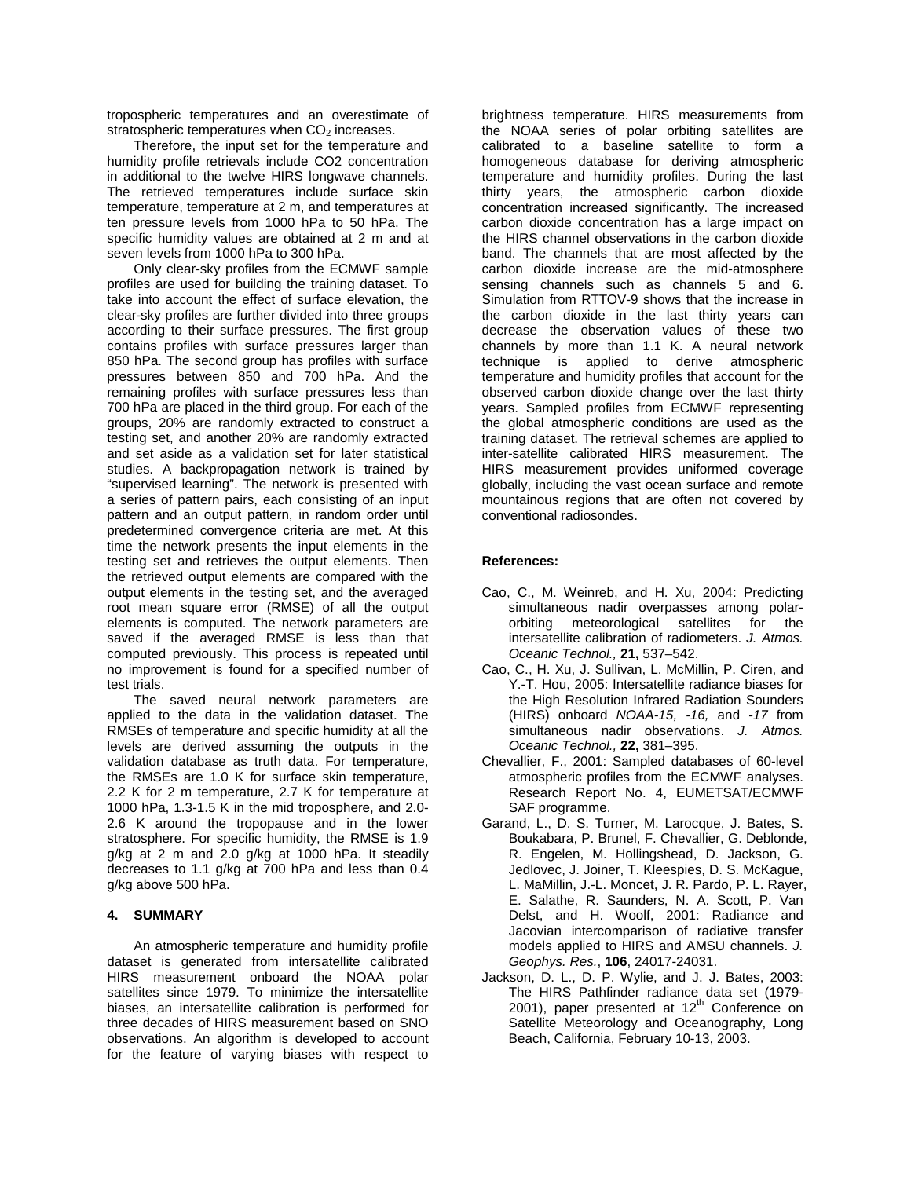tropospheric temperatures and an overestimate of stratospheric temperatures when  $CO<sub>2</sub>$  increases.

Therefore, the input set for the temperature and humidity profile retrievals include CO2 concentration in additional to the twelve HIRS longwave channels. The retrieved temperatures include surface skin temperature, temperature at 2 m, and temperatures at ten pressure levels from 1000 hPa to 50 hPa. The specific humidity values are obtained at 2 m and at seven levels from 1000 hPa to 300 hPa.

Only clear-sky profiles from the ECMWF sample profiles are used for building the training dataset. To take into account the effect of surface elevation, the clear-sky profiles are further divided into three groups according to their surface pressures. The first group contains profiles with surface pressures larger than 850 hPa. The second group has profiles with surface pressures between 850 and 700 hPa. And the remaining profiles with surface pressures less than 700 hPa are placed in the third group. For each of the groups, 20% are randomly extracted to construct a testing set, and another 20% are randomly extracted and set aside as a validation set for later statistical studies. A backpropagation network is trained by "supervised learning". The network is presented with a series of pattern pairs, each consisting of an input pattern and an output pattern, in random order until predetermined convergence criteria are met. At this time the network presents the input elements in the testing set and retrieves the output elements. Then the retrieved output elements are compared with the output elements in the testing set, and the averaged root mean square error (RMSE) of all the output elements is computed. The network parameters are saved if the averaged RMSE is less than that computed previously. This process is repeated until no improvement is found for a specified number of test trials.

The saved neural network parameters are applied to the data in the validation dataset. The RMSEs of temperature and specific humidity at all the levels are derived assuming the outputs in the validation database as truth data. For temperature, the RMSEs are 1.0 K for surface skin temperature, 2.2 K for 2 m temperature, 2.7 K for temperature at 1000 hPa, 1.3-1.5 K in the mid troposphere, and 2.0- 2.6 K around the tropopause and in the lower stratosphere. For specific humidity, the RMSE is 1.9 g/kg at 2 m and 2.0 g/kg at 1000 hPa. It steadily decreases to 1.1 g/kg at 700 hPa and less than 0.4 g/kg above 500 hPa.

# **4. SUMMARY**

An atmospheric temperature and humidity profile dataset is generated from intersatellite calibrated HIRS measurement onboard the NOAA polar satellites since 1979. To minimize the intersatellite biases, an intersatellite calibration is performed for three decades of HIRS measurement based on SNO observations. An algorithm is developed to account for the feature of varying biases with respect to

brightness temperature. HIRS measurements from the NOAA series of polar orbiting satellites are calibrated to a baseline satellite to form a homogeneous database for deriving atmospheric temperature and humidity profiles. During the last thirty years, the atmospheric carbon dioxide concentration increased significantly. The increased carbon dioxide concentration has a large impact on the HIRS channel observations in the carbon dioxide band. The channels that are most affected by the carbon dioxide increase are the mid-atmosphere sensing channels such as channels 5 and 6. Simulation from RTTOV-9 shows that the increase in the carbon dioxide in the last thirty years can decrease the observation values of these two channels by more than 1.1 K. A neural network technique is applied to derive atmospheric temperature and humidity profiles that account for the observed carbon dioxide change over the last thirty years. Sampled profiles from ECMWF representing the global atmospheric conditions are used as the training dataset. The retrieval schemes are applied to inter-satellite calibrated HIRS measurement. The HIRS measurement provides uniformed coverage globally, including the vast ocean surface and remote mountainous regions that are often not covered by conventional radiosondes.

### **References:**

- Cao, C., M. Weinreb, and H. Xu, 2004: Predicting simultaneous nadir overpasses among polarorbiting meteorological satellites for the intersatellite calibration of radiometers. *J. Atmos. Oceanic Technol.,* **21,** 537–542.
- Cao, C., H. Xu, J. Sullivan, L. McMillin, P. Ciren, and Y.-T. Hou, 2005: Intersatellite radiance biases for the High Resolution Infrared Radiation Sounders (HIRS) onboard *NOAA-15, -16,* and *-17* from simultaneous nadir observations. *J. Atmos. Oceanic Technol.,* **22,** 381–395.
- Chevallier, F., 2001: Sampled databases of 60-level atmospheric profiles from the ECMWF analyses. Research Report No. 4, EUMETSAT/ECMWF SAF programme.
- Garand, L., D. S. Turner, M. Larocque, J. Bates, S. Boukabara, P. Brunel, F. Chevallier, G. Deblonde, R. Engelen, M. Hollingshead, D. Jackson, G. Jedlovec, J. Joiner, T. Kleespies, D. S. McKague, L. MaMillin, J.-L. Moncet, J. R. Pardo, P. L. Rayer, E. Salathe, R. Saunders, N. A. Scott, P. Van Delst, and H. Woolf, 2001: Radiance and Jacovian intercomparison of radiative transfer models applied to HIRS and AMSU channels. *J. Geophys. Res.*, **106**, 24017-24031.
- Jackson, D. L., D. P. Wylie, and J. J. Bates, 2003: The HIRS Pathfinder radiance data set (1979- 2001), paper presented at  $12<sup>th</sup>$  Conference on Satellite Meteorology and Oceanography, Long Beach, California, February 10-13, 2003.